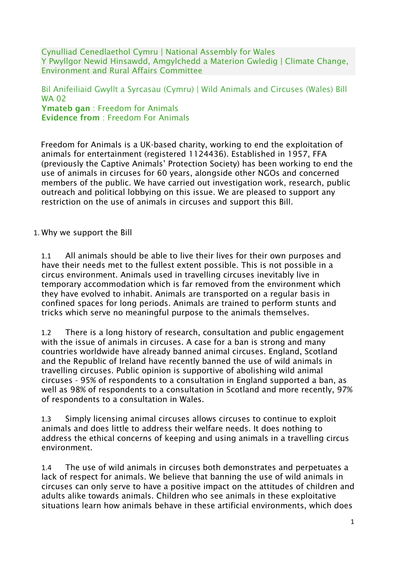Cynulliad Cenedlaethol Cymru | National Assembly for Wales Y Pwyllgor Newid Hinsawdd, Amgylchedd a Materion Gwledig | Climate Change, Environment and Rural Affairs Committee

#### Bil Anifeiliaid Gwyllt a Syrcasau (Cymru) | Wild Animals and Circuses (Wales) Bill WA 02 Ymateb gan: Freedom for Animals Evidence from : Freedom For Animals

Freedom for Animals is a UK-based charity, working to end the exploitation of animals for entertainment (registered 1124436). Established in 1957, FFA (previously the Captive Animals' Protection Society) has been working to end the use of animals in circuses for 60 years, alongside other NGOs and concerned members of the public. We have carried out investigation work, research, public outreach and political lobbying on this issue. We are pleased to support any restriction on the use of animals in circuses and support this Bill.

#### 1. Why we support the Bill

1.1 All animals should be able to live their lives for their own purposes and have their needs met to the fullest extent possible. This is not possible in a circus environment. Animals used in travelling circuses inevitably live in temporary accommodation which is far removed from the environment which they have evolved to inhabit. Animals are transported on a regular basis in confined spaces for long periods. Animals are trained to perform stunts and tricks which serve no meaningful purpose to the animals themselves.

1.2 There is a long history of research, consultation and public engagement with the issue of animals in circuses. A case for a ban is strong and many countries worldwide have already banned animal circuses. England, Scotland and the Republic of Ireland have recently banned the use of wild animals in travelling circuses. Public opinion is supportive of abolishing wild animal circuses - 95% of respondents to a consultation in England supported a ban, as well as 98% of respondents to a consultation in Scotland and more recently, 97% of respondents to a consultation in Wales.

1.3 Simply licensing animal circuses allows circuses to continue to exploit animals and does little to address their welfare needs. It does nothing to address the ethical concerns of keeping and using animals in a travelling circus environment.

1.4 The use of wild animals in circuses both demonstrates and perpetuates a lack of respect for animals. We believe that banning the use of wild animals in circuses can only serve to have a positive impact on the attitudes of children and adults alike towards animals. Children who see animals in these exploitative situations learn how animals behave in these artificial environments, which does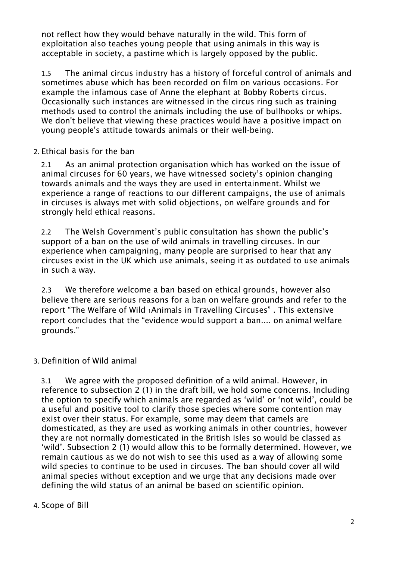not reflect how they would behave naturally in the wild. This form of exploitation also teaches young people that using animals in this way is acceptable in society, a pastime which is largely opposed by the public.

1.5 The animal circus industry has a history of forceful control of animals and sometimes abuse which has been recorded on film on various occasions. For example the infamous case of Anne the elephant at Bobby Roberts circus. Occasionally such instances are witnessed in the circus ring such as training methods used to control the animals including the use of bullhooks or whips. We don't believe that viewing these practices would have a positive impact on young people's attitude towards animals or their well-being.

### 2. Ethical basis for the ban

2.1 As an animal protection organisation which has worked on the issue of animal circuses for 60 years, we have witnessed society's opinion changing towards animals and the ways they are used in entertainment. Whilst we experience a range of reactions to our different campaigns, the use of animals in circuses is always met with solid objections, on welfare grounds and for strongly held ethical reasons.

2.2 The Welsh Government's public consultation has shown the public's support of a ban on the use of wild animals in travelling circuses. In our experience when campaigning, many people are surprised to hear that any circuses exist in the UK which use animals, seeing it as outdated to use animals in such a way.

2.3 We therefore welcome a ban based on ethical grounds, however also believe there are serious reasons for a ban on welfare grounds and refer to the report "The Welfare of Wild 1Animals in Travelling Circuses" . This extensive report concludes that the "evidence would support a ban.... on animal welfare grounds."

# 3. Definition of Wild animal

3.1 We agree with the proposed definition of a wild animal. However, in reference to subsection 2 (1) in the draft bill, we hold some concerns. Including the option to specify which animals are regarded as 'wild' or 'not wild', could be a useful and positive tool to clarify those species where some contention may exist over their status. For example, some may deem that camels are domesticated, as they are used as working animals in other countries, however they are not normally domesticated in the British Isles so would be classed as 'wild'. Subsection 2 (1) would allow this to be formally determined. However, we remain cautious as we do not wish to see this used as a way of allowing some wild species to continue to be used in circuses. The ban should cover all wild animal species without exception and we urge that any decisions made over defining the wild status of an animal be based on scientific opinion.

### 4. Scope of Bill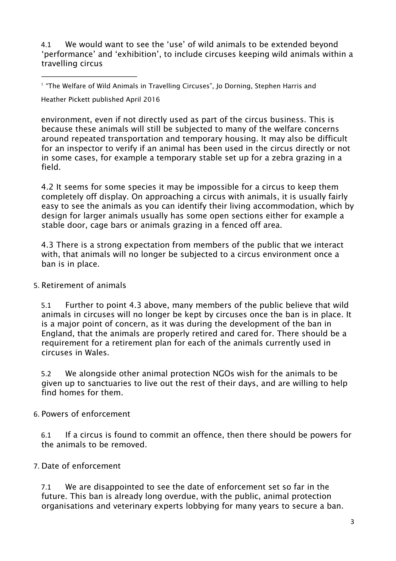4.1 We would want to see the 'use' of wild animals to be extended beyond 'performance' and 'exhibition', to include circuses keeping wild animals within a travelling circus

Heather Pickett published April 2016

environment, even if not directly used as part of the circus business. This is because these animals will still be subjected to many of the welfare concerns around repeated transportation and temporary housing. It may also be difficult for an inspector to verify if an animal has been used in the circus directly or not in some cases, for example a temporary stable set up for a zebra grazing in a field.

4.2 It seems for some species it may be impossible for a circus to keep them completely off display. On approaching a circus with animals, it is usually fairly easy to see the animals as you can identify their living accommodation, which by design for larger animals usually has some open sections either for example a stable door, cage bars or animals grazing in a fenced off area.

4.3 There is a strong expectation from members of the public that we interact with, that animals will no longer be subjected to a circus environment once a ban is in place.

### 5. Retirement of animals

5.1 Further to point 4.3 above, many members of the public believe that wild animals in circuses will no longer be kept by circuses once the ban is in place. It is a major point of concern, as it was during the development of the ban in England, that the animals are properly retired and cared for. There should be a requirement for a retirement plan for each of the animals currently used in circuses in Wales.

5.2 We alongside other animal protection NGOs wish for the animals to be given up to sanctuaries to live out the rest of their days, and are willing to help find homes for them.

### 6. Powers of enforcement

6.1 If a circus is found to commit an offence, then there should be powers for the animals to be removed.

# 7. Date of enforcement

7.1 We are disappointed to see the date of enforcement set so far in the future. This ban is already long overdue, with the public, animal protection organisations and veterinary experts lobbying for many years to secure a ban.

<sup>1</sup> "The Welfare of Wild Animals in Travelling Circuses", Jo Dorning, Stephen Harris and